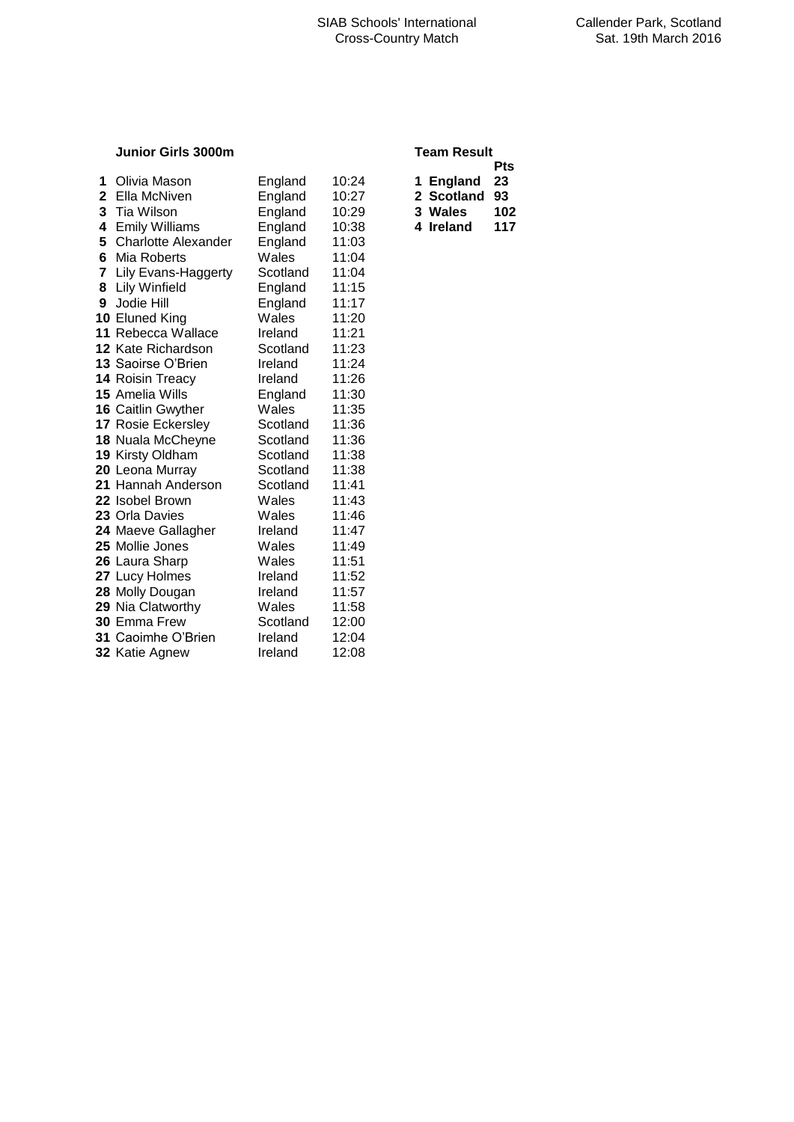## **Junior Girls 3000m**

| 1            | Olivia Mason                 | England  | 10:24 | 1 England  | 23  |
|--------------|------------------------------|----------|-------|------------|-----|
| $\mathbf{2}$ | Ella McNiven                 | England  | 10:27 | 2 Scotland | 93  |
| 3            | Tia Wilson                   | England  | 10:29 | 3 Wales    | 102 |
| 4            | <b>Emily Williams</b>        | England  | 10:38 | 4 Ireland  | 117 |
|              | <b>5</b> Charlotte Alexander | England  | 11:03 |            |     |
| 6            | Mia Roberts                  | Wales    | 11:04 |            |     |
|              | 7 Lily Evans-Haggerty        | Scotland | 11:04 |            |     |
|              | 8 Lily Winfield              | England  | 11:15 |            |     |
| 9            | Jodie Hill                   | England  | 11:17 |            |     |
|              | 10 Eluned King               | Wales    | 11:20 |            |     |
|              | 11 Rebecca Wallace           | Ireland  | 11:21 |            |     |
|              | 12 Kate Richardson           | Scotland | 11:23 |            |     |
|              | <b>13 Saoirse O'Brien</b>    | Ireland  | 11:24 |            |     |
|              | 14 Roisin Treacy             | Ireland  | 11:26 |            |     |
|              | <b>15</b> Amelia Wills       | England  | 11:30 |            |     |
|              | 16 Caitlin Gwyther           | Wales    | 11:35 |            |     |
|              | 17 Rosie Eckersley           | Scotland | 11:36 |            |     |
|              | 18 Nuala McCheyne            | Scotland | 11:36 |            |     |
|              | 19 Kirsty Oldham             | Scotland | 11:38 |            |     |
|              | 20 Leona Murray              | Scotland | 11:38 |            |     |
|              | 21 Hannah Anderson           | Scotland | 11:41 |            |     |
|              | 22 Isobel Brown              | Wales    | 11:43 |            |     |
|              | 23 Orla Davies               | Wales    | 11:46 |            |     |
|              | 24 Maeve Gallagher           | Ireland  | 11:47 |            |     |
|              | <b>25</b> Mollie Jones       | Wales    | 11:49 |            |     |
|              | 26 Laura Sharp               | Wales    | 11:51 |            |     |
|              | 27 Lucy Holmes               | Ireland  | 11:52 |            |     |
|              | 28 Molly Dougan              | Ireland  | 11:57 |            |     |
|              | 29 Nia Clatworthy            | Wales    | 11:58 |            |     |
|              | <b>30</b> Emma Frew          | Scotland | 12:00 |            |     |
|              | <b>31</b> Caoimhe O'Brien    | Ireland  | 12:04 |            |     |
|              | 32 Katie Agnew               | Ireland  | 12:08 |            |     |

| <b>Team Result</b> |  |
|--------------------|--|
|                    |  |

|   |            | Pts |
|---|------------|-----|
| 1 | England    | 23  |
|   | 2 Scotland | 93  |
|   | 3 Wales    | 102 |
|   | 4 Ireland  | 117 |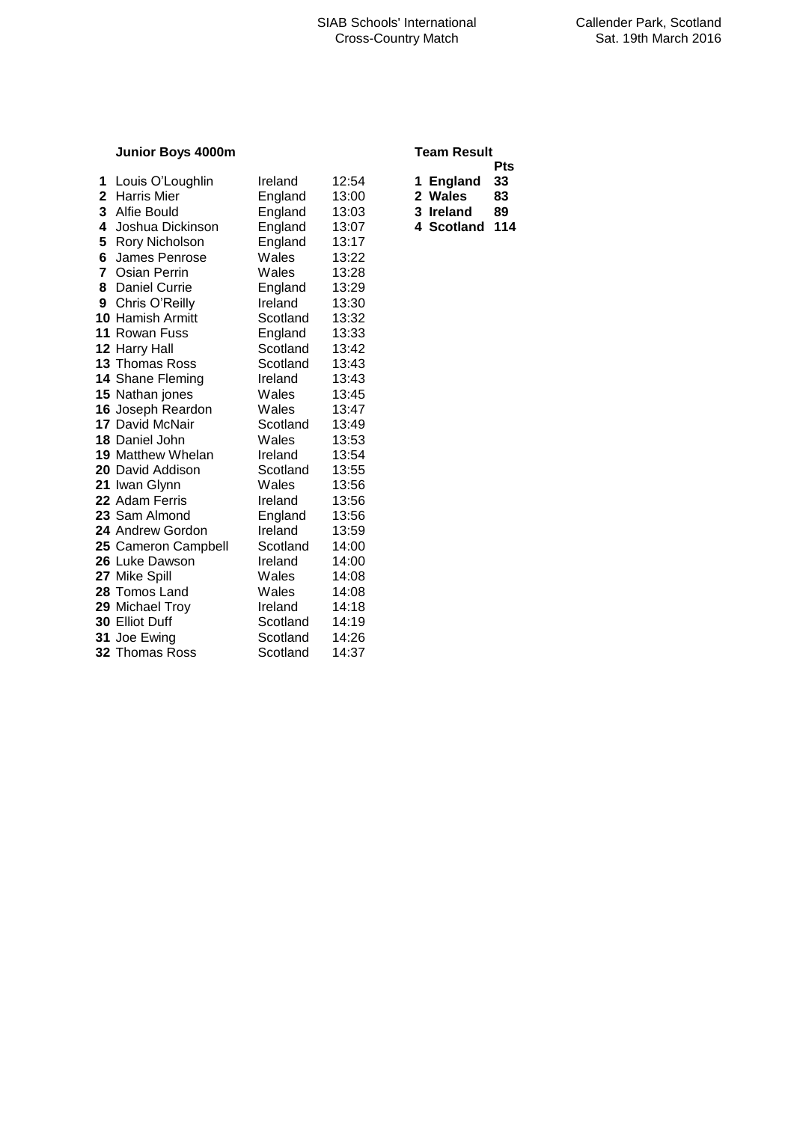## **Junior Boys 4000m**

| 1            | Louis O'Loughlin         | Ireland  | 12:54 | 1 England  | 33 |
|--------------|--------------------------|----------|-------|------------|----|
| $\mathbf{2}$ | <b>Harris Mier</b>       | England  | 13:00 | 2 Wales    | 83 |
|              | 3 Alfie Bould            | England  | 13:03 | 3 Ireland  | 89 |
| 4            | Joshua Dickinson         | England  | 13:07 | 4 Scotland | 11 |
| 5            | Rory Nicholson           | England  | 13:17 |            |    |
| 6            | James Penrose            | Wales    | 13:22 |            |    |
|              | 7 Osian Perrin           | Wales    | 13:28 |            |    |
| 8            | <b>Daniel Currie</b>     | England  | 13:29 |            |    |
| 9            | Chris O'Reilly           | Ireland  | 13:30 |            |    |
|              | <b>10 Hamish Armitt</b>  | Scotland | 13:32 |            |    |
|              | 11 Rowan Fuss            | England  | 13:33 |            |    |
|              | 12 Harry Hall            | Scotland | 13:42 |            |    |
|              | <b>13 Thomas Ross</b>    | Scotland | 13:43 |            |    |
|              | 14 Shane Fleming         | Ireland  | 13:43 |            |    |
|              | 15 Nathan jones          | Wales    | 13:45 |            |    |
|              | 16 Joseph Reardon        | Wales    | 13:47 |            |    |
|              | 17 David McNair          | Scotland | 13:49 |            |    |
|              | 18 Daniel John           | Wales    | 13:53 |            |    |
|              | <b>19 Matthew Whelan</b> | Ireland  | 13:54 |            |    |
|              | 20 David Addison         | Scotland | 13:55 |            |    |
|              | 21 Iwan Glynn            | Wales    | 13:56 |            |    |
|              | <b>22</b> Adam Ferris    | Ireland  | 13:56 |            |    |
|              | 23 Sam Almond            | England  | 13:56 |            |    |
|              | 24 Andrew Gordon         | Ireland  | 13:59 |            |    |
|              | 25 Cameron Campbell      | Scotland | 14:00 |            |    |
|              | 26 Luke Dawson           | Ireland  | 14:00 |            |    |
|              | 27 Mike Spill            | Wales    | 14:08 |            |    |
|              | 28 Tomos Land            | Wales    | 14:08 |            |    |
|              | 29 Michael Troy          | Ireland  | 14:18 |            |    |
|              | 30 Elliot Duff           | Scotland | 14:19 |            |    |
|              | 31 Joe Ewing             | Scotland | 14:26 |            |    |
|              | <b>32 Thomas Ross</b>    | Scotland | 14:37 |            |    |

| Team Result |
|-------------|

|   | . vu           |     |  |  |  |
|---|----------------|-----|--|--|--|
|   |                | Pts |  |  |  |
| 1 | <b>England</b> | 33  |  |  |  |
|   | 2 Wales        | 83  |  |  |  |
|   | 3 Ireland      | 89  |  |  |  |
|   | 4 Scotland     | 114 |  |  |  |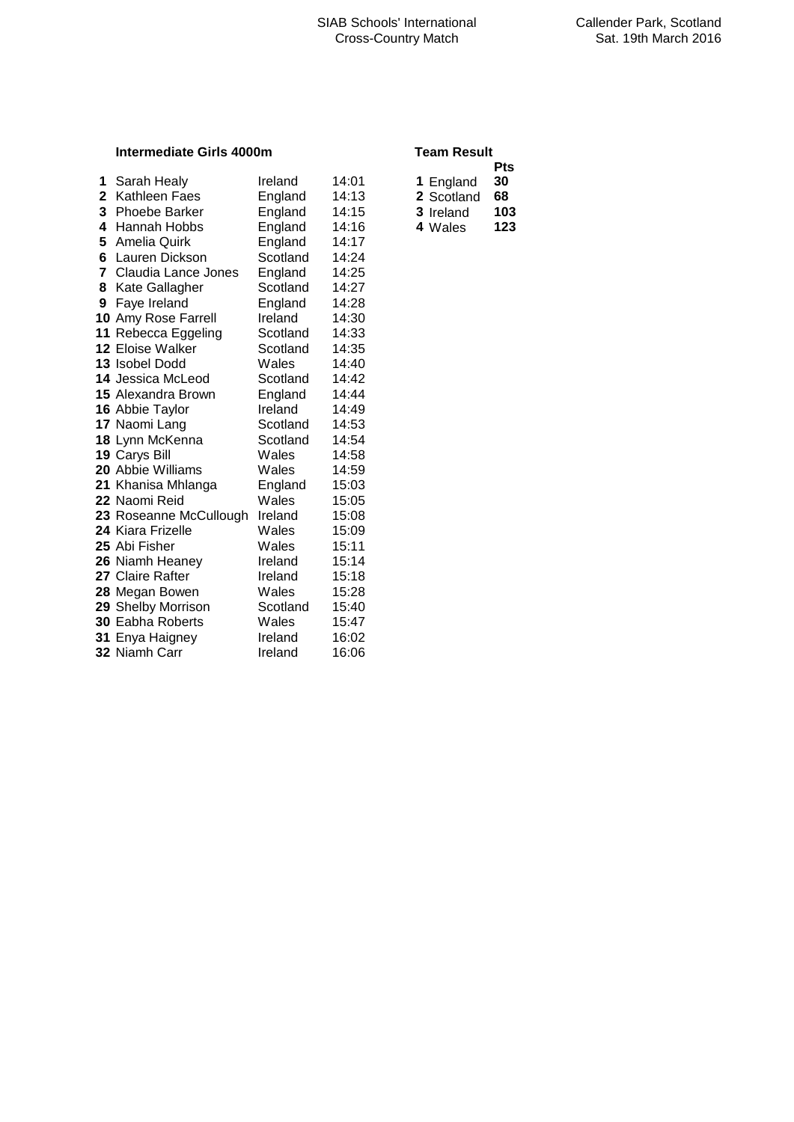## **Intermediate Girls 4000m Team Results**

| 1            | Sarah Healy               | Ireland  | 14:01 | 1 England  | 30  |
|--------------|---------------------------|----------|-------|------------|-----|
| $\mathbf{2}$ | Kathleen Faes             | England  | 14:13 | 2 Scotland | 68  |
|              | 3 Phoebe Barker           | England  | 14:15 | 3 Ireland  | 103 |
| 4            | Hannah Hobbs              | England  | 14:16 | 4 Wales    | 123 |
| 5            | Amelia Quirk              | England  | 14:17 |            |     |
|              | <b>6</b> Lauren Dickson   | Scotland | 14:24 |            |     |
| $\mathbf{7}$ | Claudia Lance Jones       | England  | 14:25 |            |     |
| 8            | Kate Gallagher            | Scotland | 14:27 |            |     |
| 9            | Faye Ireland              | England  | 14:28 |            |     |
|              | 10 Amy Rose Farrell       | Ireland  | 14:30 |            |     |
|              | 11 Rebecca Eggeling       | Scotland | 14:33 |            |     |
|              | <b>12 Eloise Walker</b>   | Scotland | 14:35 |            |     |
|              | 13 Isobel Dodd            | Wales    | 14:40 |            |     |
|              | 14 Jessica McLeod         | Scotland | 14:42 |            |     |
|              | <b>15 Alexandra Brown</b> | England  | 14:44 |            |     |
|              | 16 Abbie Taylor           | Ireland  | 14:49 |            |     |
|              | 17 Naomi Lang             | Scotland | 14:53 |            |     |
|              | 18 Lynn McKenna           | Scotland | 14:54 |            |     |
|              | 19 Carys Bill             | Wales    | 14:58 |            |     |
|              | <b>20</b> Abbie Williams  | Wales    | 14:59 |            |     |
|              | 21 Khanisa Mhlanga        | England  | 15:03 |            |     |
|              | 22 Naomi Reid             | Wales    | 15:05 |            |     |
|              | 23 Roseanne McCullough    | Ireland  | 15:08 |            |     |
|              | <b>24 Kiara Frizelle</b>  | Wales    | 15:09 |            |     |
|              | <b>25</b> Abi Fisher      | Wales    | 15:11 |            |     |
|              | 26 Niamh Heaney           | Ireland  | 15:14 |            |     |
|              | 27 Claire Rafter          | Ireland  | 15:18 |            |     |
|              | 28 Megan Bowen            | Wales    | 15:28 |            |     |
|              | 29 Shelby Morrison        | Scotland | 15:40 |            |     |
|              | 30 Eabha Roberts          | Wales    | 15:47 |            |     |
|              | 31 Enya Haigney           | Ireland  | 16:02 |            |     |
|              | <b>32 Niamh Carr</b>      | Ireland  | 16:06 |            |     |

|                  | Pts |  |  |  |  |
|------------------|-----|--|--|--|--|
| 1 England        | 30  |  |  |  |  |
| 2 Scotland       | 68  |  |  |  |  |
| <b>3</b> Ireland | 103 |  |  |  |  |
| 4 Wales          | 123 |  |  |  |  |